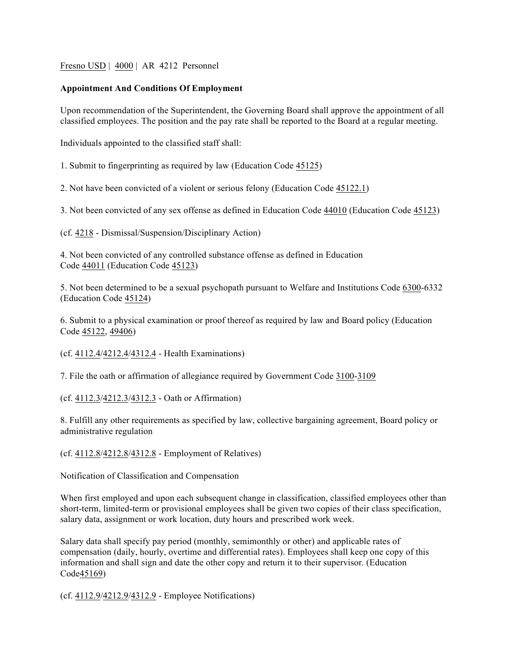Fresno USD | 4000 | AR 4212 Personnel

## **Appointment And Conditions Of Employment**

Upon recommendation of the Superintendent, the Governing Board shall approve the appointment of all classified employees. The position and the pay rate shall be reported to the Board at a regular meeting.

Individuals appointed to the classified staff shall:

1. Submit to fingerprinting as required by law (Education Code 45125)

2. Not have been convicted of a violent or serious felony (Education Code 45122.1)

3. Not been convicted of any sex offense as defined in Education Code 44010 (Education Code 45123)

(cf. 4218 - Dismissal/Suspension/Disciplinary Action)

4. Not been convicted of any controlled substance offense as defined in Education Code 44011 (Education Code 45123)

5. Not been determined to be a sexual psychopath pursuant to Welfare and Institutions Code 6300-6332 (Education Code 45124)

6. Submit to a physical examination or proof thereof as required by law and Board policy (Education Code 45122, 49406)

(cf. 4112.4/4212.4/4312.4 - Health Examinations)

7. File the oath or affirmation of allegiance required by Government Code 3100-3109

(cf. 4112.3/4212.3/4312.3 - Oath or Affirmation)

8. Fulfill any other requirements as specified by law, collective bargaining agreement, Board policy or administrative regulation

(cf. 4112.8/4212.8/4312.8 - Employment of Relatives)

Notification of Classification and Compensation

When first employed and upon each subsequent change in classification, classified employees other than short-term, limited-term or provisional employees shall be given two copies of their class specification, salary data, assignment or work location, duty hours and prescribed work week.

Salary data shall specify pay period (monthly, semimonthly or other) and applicable rates of compensation (daily, hourly, overtime and differential rates). Employees shall keep one copy of this information and shall sign and date the other copy and return it to their supervisor. (Education Code45169)

(cf. 4112.9/4212.9/4312.9 - Employee Notifications)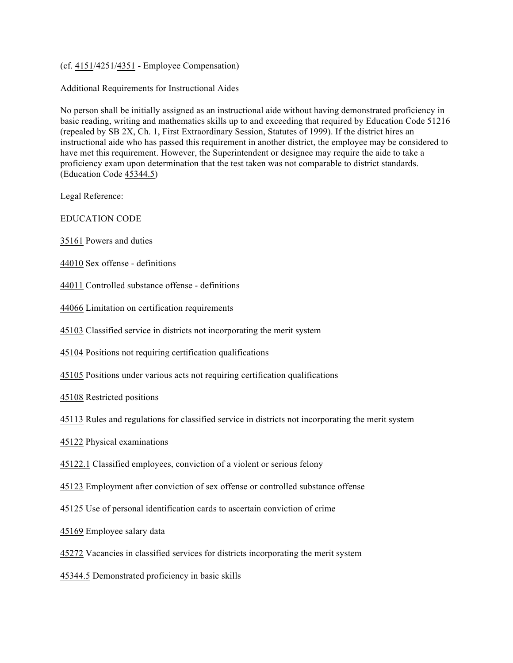(cf. 4151/4251/4351 - Employee Compensation)

Additional Requirements for Instructional Aides

No person shall be initially assigned as an instructional aide without having demonstrated proficiency in basic reading, writing and mathematics skills up to and exceeding that required by Education Code 51216 (repealed by SB 2X, Ch. 1, First Extraordinary Session, Statutes of 1999). If the district hires an instructional aide who has passed this requirement in another district, the employee may be considered to have met this requirement. However, the Superintendent or designee may require the aide to take a proficiency exam upon determination that the test taken was not comparable to district standards. (Education Code 45344.5)

Legal Reference:

EDUCATION CODE

35161 Powers and duties

44010 Sex offense - definitions

44011 Controlled substance offense - definitions

44066 Limitation on certification requirements

45103 Classified service in districts not incorporating the merit system

45104 Positions not requiring certification qualifications

45105 Positions under various acts not requiring certification qualifications

45108 Restricted positions

45113 Rules and regulations for classified service in districts not incorporating the merit system

45122 Physical examinations

45122.1 Classified employees, conviction of a violent or serious felony

45123 Employment after conviction of sex offense or controlled substance offense

45125 Use of personal identification cards to ascertain conviction of crime

45169 Employee salary data

45272 Vacancies in classified services for districts incorporating the merit system

45344.5 Demonstrated proficiency in basic skills